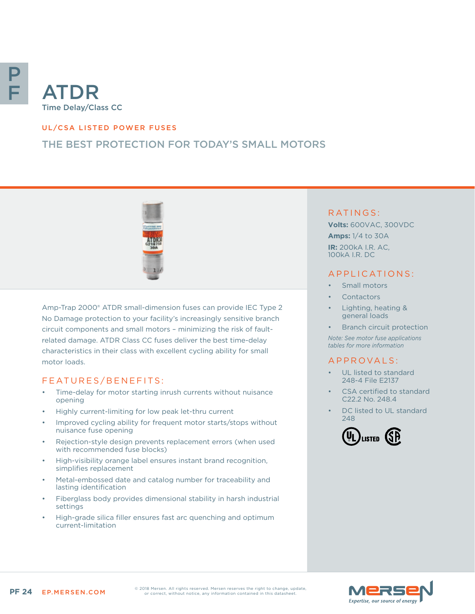

# Time Delay/Class CC

## UL/CSA LISTED POWER FUSES

# THE BEST PROTECTION FOR TODAY'S SMALL MOTORS



Amp-Trap 2000® ATDR small-dimension fuses can provide IEC Type 2 No Damage protection to your facility's increasingly sensitive branch circuit components and small motors – minimizing the risk of faultrelated damage. ATDR Class CC fuses deliver the best time-delay characteristics in their class with excellent cycling ability for small motor loads.

## FEATURES/BENEFITS:

- Time-delay for motor starting inrush currents without nuisance opening
- Highly current-limiting for low peak let-thru current
- Improved cycling ability for frequent motor starts/stops without nuisance fuse opening
- Rejection-style design prevents replacement errors (when used with recommended fuse blocks)
- High-visibility orange label ensures instant brand recognition, simplifies replacement
- Metal-embossed date and catalog number for traceability and lasting identification
- Fiberglass body provides dimensional stability in harsh industrial settings
- High-grade silica filler ensures fast arc quenching and optimum current-limitation

## RATINGS:

**Volts:** 600VAC, 300VDC **Amps:** 1/4 to 30A **IR:** 200kA I.R. AC, 100kA I.R. DC

## APPLICATIONS:

- Small motors
- **Contactors**
- Lighting, heating & general loads
- Branch circuit protection

*Note: See motor fuse applications tables for more information*

#### A P P R OVA L S :

- UL listed to standard 248-4 File E2137
- CSA certified to standard C22.2 No. 248.4
- DC listed to UL standard 248